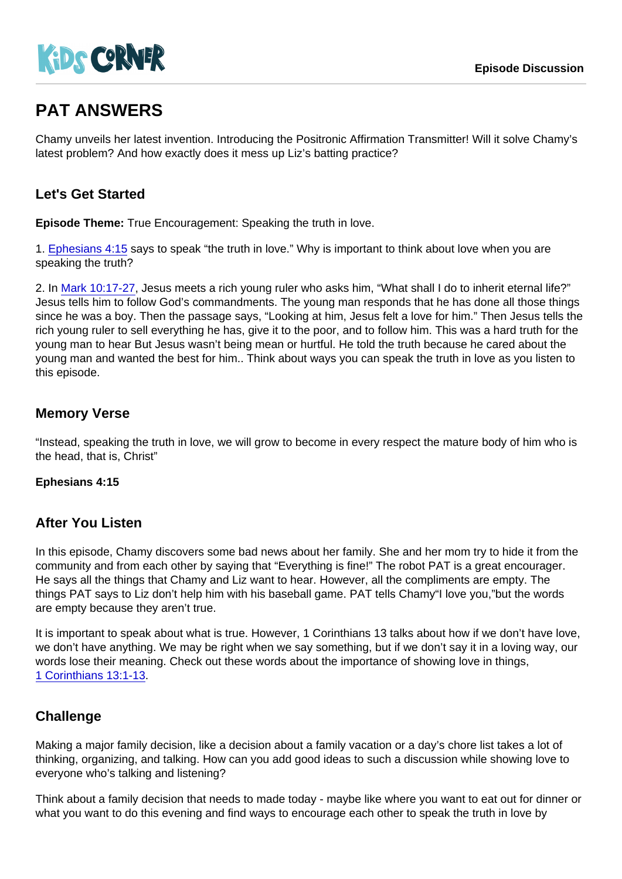# PAT ANSWERS

Chamy unveils her latest invention. Introducing the Positronic Affirmation Transmitter! Will it solve Chamy's latest problem? And how exactly does it mess up Liz's batting practice?

# Let's Get Started

Episode Theme: True Encouragement: Speaking the truth in love.

1. [Ephesians 4:15](https://www.biblegateway.com/passage/?search=Ephesians+4:15) says to speak "the truth in love." Why is important to think about love when you are speaking the truth?

2. In [Mark 10:17-27](https://www.biblegateway.com/passage/?search=Mark+10:17-27), Jesus meets a rich young ruler who asks him, "What shall I do to inherit eternal life?" Jesus tells him to follow God's commandments. The young man responds that he has done all those things since he was a boy. Then the passage says, "Looking at him, Jesus felt a love for him." Then Jesus tells the rich young ruler to sell everything he has, give it to the poor, and to follow him. This was a hard truth for the young man to hear But Jesus wasn't being mean or hurtful. He told the truth because he cared about the young man and wanted the best for him.. Think about ways you can speak the truth in love as you listen to this episode.

## Memory Verse

"Instead, speaking the truth in love, we will grow to become in every respect the mature body of him who is the head, that is, Christ"

Ephesians 4:15

#### After You Listen

In this episode, Chamy discovers some bad news about her family. She and her mom try to hide it from the community and from each other by saying that "Everything is fine!" The robot PAT is a great encourager. He says all the things that Chamy and Liz want to hear. However, all the compliments are empty. The things PAT says to Liz don't help him with his baseball game. PAT tells Chamy"I love you,"but the words are empty because they aren't true.

It is important to speak about what is true. However, 1 Corinthians 13 talks about how if we don't have love, we don't have anything. We may be right when we say something, but if we don't say it in a loving way, our words lose their meaning. Check out these words about the importance of showing love in things, [1 Corinthians 13:1-13](https://www.biblegateway.com/passage/?search=1+Corinthians+13:1-13).

# **Challenge**

Making a major family decision, like a decision about a family vacation or a day's chore list takes a lot of thinking, organizing, and talking. How can you add good ideas to such a discussion while showing love to everyone who's talking and listening?

Think about a family decision that needs to made today - maybe like where you want to eat out for dinner or what you want to do this evening and find ways to encourage each other to speak the truth in love by